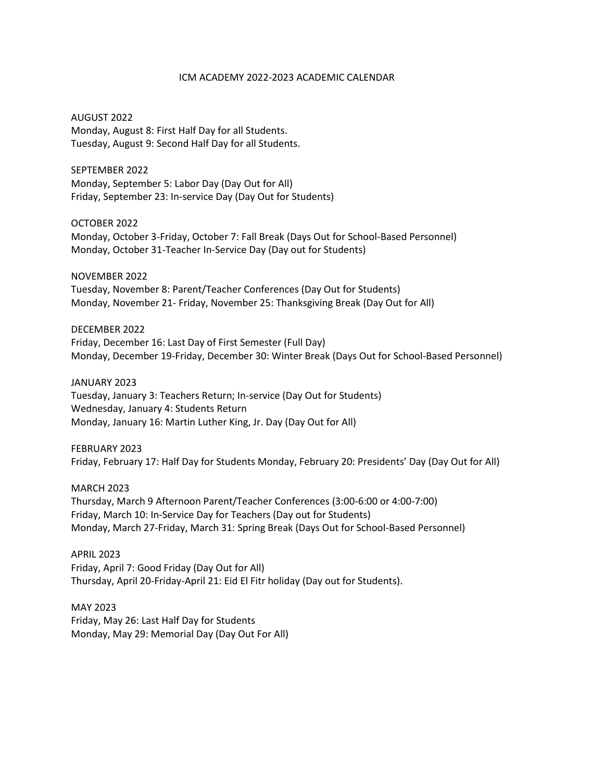## ICM ACADEMY 2022-2023 ACADEMIC CALENDAR

AUGUST 2022 Monday, August 8: First Half Day for all Students. Tuesday, August 9: Second Half Day for all Students.

SEPTEMBER 2022 Monday, September 5: Labor Day (Day Out for All) Friday, September 23: In-service Day (Day Out for Students)

OCTOBER 2022 Monday, October 3-Friday, October 7: Fall Break (Days Out for School-Based Personnel) Monday, October 31-Teacher In-Service Day (Day out for Students)

NOVEMBER 2022 Tuesday, November 8: Parent/Teacher Conferences (Day Out for Students) Monday, November 21- Friday, November 25: Thanksgiving Break (Day Out for All)

DECEMBER 2022 Friday, December 16: Last Day of First Semester (Full Day) Monday, December 19-Friday, December 30: Winter Break (Days Out for School-Based Personnel)

JANUARY 2023 Tuesday, January 3: Teachers Return; In-service (Day Out for Students) Wednesday, January 4: Students Return Monday, January 16: Martin Luther King, Jr. Day (Day Out for All)

FEBRUARY 2023 Friday, February 17: Half Day for Students Monday, February 20: Presidents' Day (Day Out for All)

MARCH 2023 Thursday, March 9 Afternoon Parent/Teacher Conferences (3:00-6:00 or 4:00-7:00) Friday, March 10: In-Service Day for Teachers (Day out for Students) Monday, March 27-Friday, March 31: Spring Break (Days Out for School-Based Personnel)

APRIL 2023 Friday, April 7: Good Friday (Day Out for All) Thursday, April 20-Friday-April 21: Eid El Fitr holiday (Day out for Students).

MAY 2023 Friday, May 26: Last Half Day for Students Monday, May 29: Memorial Day (Day Out For All)